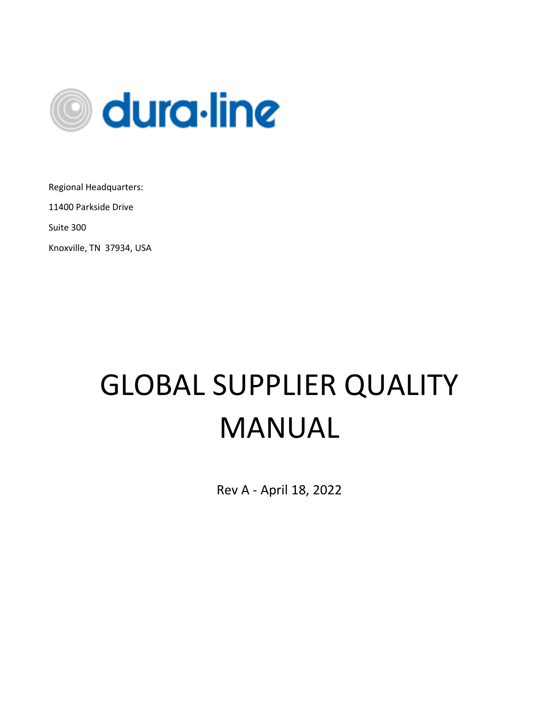

Regional Headquarters:

11400 Parkside Drive

Suite 300

Knoxville, TN 37934, USA

# GLOBAL SUPPLIER QUALITY MANUAL

Rev A - April 18, 2022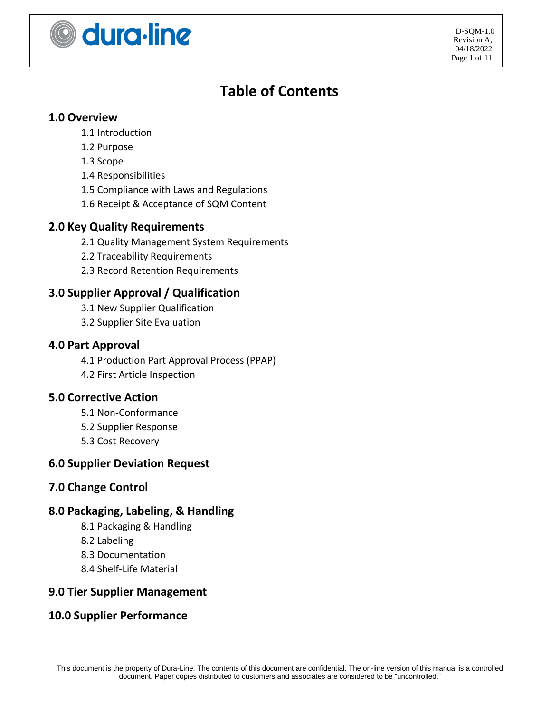

# **Table of Contents**

#### **1.0 Overview**

- 1.1 Introduction
- 1.2 Purpose
- 1.3 Scope
- 1.4 Responsibilities
- 1.5 Compliance with Laws and Regulations
- 1.6 Receipt & Acceptance of SQM Content

#### **2.0 Key Quality Requirements**

- 2.1 Quality Management System Requirements
- 2.2 Traceability Requirements
- 2.3 Record Retention Requirements

### **3.0 Supplier Approval / Qualification**

- 3.1 New Supplier Qualification
- 3.2 Supplier Site Evaluation

#### **4.0 Part Approval**

- 4.1 Production Part Approval Process (PPAP)
- 4.2 First Article Inspection

#### **5.0 Corrective Action**

- 5.1 Non-Conformance
- 5.2 Supplier Response
- 5.3 Cost Recovery

#### **6.0 Supplier Deviation Request**

#### **7.0 Change Control**

#### **8.0 Packaging, Labeling, & Handling**

- 8.1 Packaging & Handling
- 8.2 Labeling
- 8.3 Documentation
- 8.4 Shelf-Life Material

#### **9.0 Tier Supplier Management**

#### **10.0 Supplier Performance**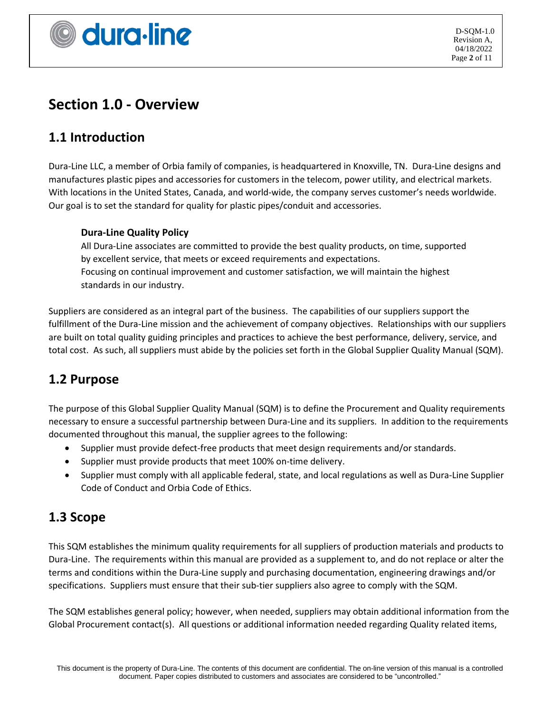

# **Section 1.0 - Overview**

# **1.1 Introduction**

Dura-Line LLC, a member of Orbia family of companies, is headquartered in Knoxville, TN. Dura-Line designs and manufactures plastic pipes and accessories for customers in the telecom, power utility, and electrical markets. With locations in the United States, Canada, and world-wide, the company serves customer's needs worldwide. Our goal is to set the standard for quality for plastic pipes/conduit and accessories.

#### **Dura-Line Quality Policy**

All Dura-Line associates are committed to provide the best quality products, on time, supported by excellent service, that meets or exceed requirements and expectations. Focusing on continual improvement and customer satisfaction, we will maintain the highest standards in our industry.

Suppliers are considered as an integral part of the business. The capabilities of our suppliers support the fulfillment of the Dura-Line mission and the achievement of company objectives. Relationships with our suppliers are built on total quality guiding principles and practices to achieve the best performance, delivery, service, and total cost. As such, all suppliers must abide by the policies set forth in the Global Supplier Quality Manual (SQM).

# **1.2 Purpose**

The purpose of this Global Supplier Quality Manual (SQM) is to define the Procurement and Quality requirements necessary to ensure a successful partnership between Dura-Line and its suppliers. In addition to the requirements documented throughout this manual, the supplier agrees to the following:

- Supplier must provide defect-free products that meet design requirements and/or standards.
- Supplier must provide products that meet 100% on-time delivery.
- Supplier must comply with all applicable federal, state, and local regulations as well as Dura-Line Supplier Code of Conduct and Orbia Code of Ethics.

### **1.3 Scope**

This SQM establishes the minimum quality requirements for all suppliers of production materials and products to Dura-Line. The requirements within this manual are provided as a supplement to, and do not replace or alter the terms and conditions within the Dura-Line supply and purchasing documentation, engineering drawings and/or specifications. Suppliers must ensure that their sub-tier suppliers also agree to comply with the SQM.

The SQM establishes general policy; however, when needed, suppliers may obtain additional information from the Global Procurement contact(s). All questions or additional information needed regarding Quality related items,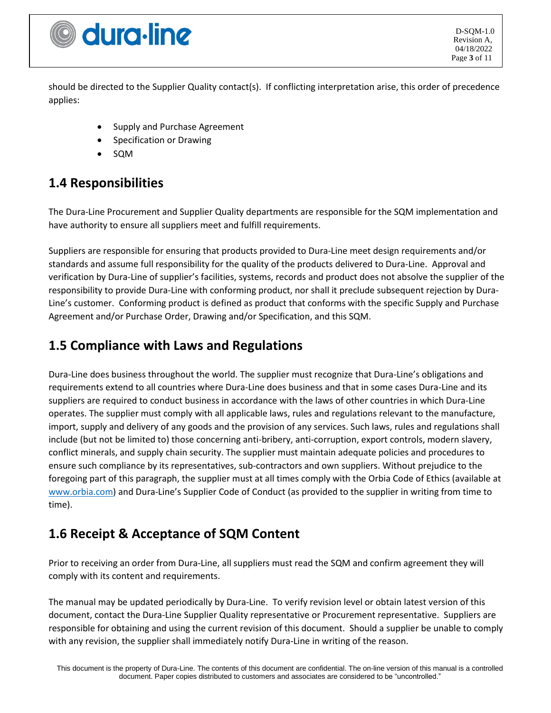

D-SQM-1.0 Revision A, 04/18/2022 Page **3** of 11

should be directed to the Supplier Quality contact(s). If conflicting interpretation arise, this order of precedence applies:

- Supply and Purchase Agreement
- Specification or Drawing
- SQM

### **1.4 Responsibilities**

The Dura-Line Procurement and Supplier Quality departments are responsible for the SQM implementation and have authority to ensure all suppliers meet and fulfill requirements.

Suppliers are responsible for ensuring that products provided to Dura-Line meet design requirements and/or standards and assume full responsibility for the quality of the products delivered to Dura-Line. Approval and verification by Dura-Line of supplier's facilities, systems, records and product does not absolve the supplier of the responsibility to provide Dura-Line with conforming product, nor shall it preclude subsequent rejection by Dura-Line's customer. Conforming product is defined as product that conforms with the specific Supply and Purchase Agreement and/or Purchase Order, Drawing and/or Specification, and this SQM.

### **1.5 Compliance with Laws and Regulations**

Dura-Line does business throughout the world. The supplier must recognize that Dura-Line's obligations and requirements extend to all countries where Dura-Line does business and that in some cases Dura-Line and its suppliers are required to conduct business in accordance with the laws of other countries in which Dura-Line operates. The supplier must comply with all applicable laws, rules and regulations relevant to the manufacture, import, supply and delivery of any goods and the provision of any services. Such laws, rules and regulations shall include (but not be limited to) those concerning anti-bribery, anti-corruption, export controls, modern slavery, conflict minerals, and supply chain security. The supplier must maintain adequate policies and procedures to ensure such compliance by its representatives, sub-contractors and own suppliers. Without prejudice to the foregoing part of this paragraph, the supplier must at all times comply with the Orbia Code of Ethics (available at [www.orbia.com\)](https://eur03.safelinks.protection.outlook.com/?url=http%3A%2F%2Fwww.orbia.com%2F&data=04%7C01%7CCandace.Vance%40duraline.com%7C734fcd182f5a44c4e44808da18c3b712%7Cfad75a54a3234cd08e516a8d57035aa8%7C0%7C0%7C637849526110604894%7CUnknown%7CTWFpbGZsb3d8eyJWIjoiMC4wLjAwMDAiLCJQIjoiV2luMzIiLCJBTiI6Ik1haWwiLCJXVCI6Mn0%3D%7C3000&sdata=EeL5SDs88VXlAbG3DgUPKV52umYHtBqR8ADl9TwV1WU%3D&reserved=0) and Dura-Line's Supplier Code of Conduct (as provided to the supplier in writing from time to time).

### **1.6 Receipt & Acceptance of SQM Content**

Prior to receiving an order from Dura-Line, all suppliers must read the SQM and confirm agreement they will comply with its content and requirements.

The manual may be updated periodically by Dura-Line. To verify revision level or obtain latest version of this document, contact the Dura-Line Supplier Quality representative or Procurement representative. Suppliers are responsible for obtaining and using the current revision of this document. Should a supplier be unable to comply with any revision, the supplier shall immediately notify Dura-Line in writing of the reason.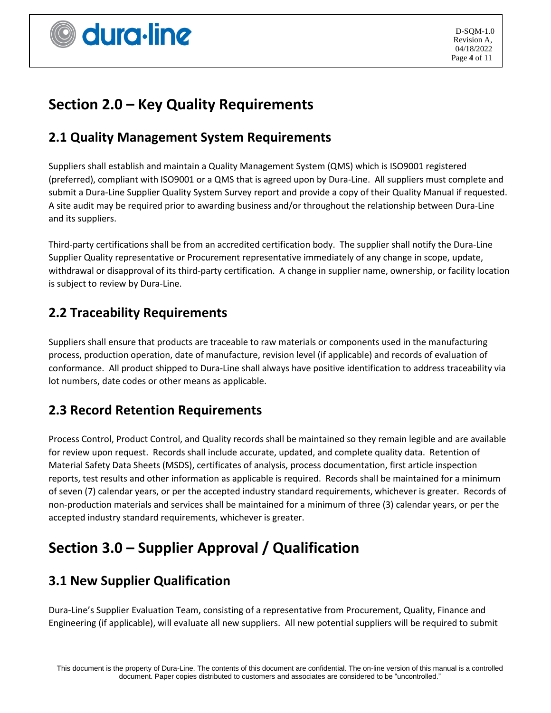

# **Section 2.0 – Key Quality Requirements**

### **2.1 Quality Management System Requirements**

Suppliers shall establish and maintain a Quality Management System (QMS) which is ISO9001 registered (preferred), compliant with ISO9001 or a QMS that is agreed upon by Dura-Line. All suppliers must complete and submit a Dura-Line Supplier Quality System Survey report and provide a copy of their Quality Manual if requested. A site audit may be required prior to awarding business and/or throughout the relationship between Dura-Line and its suppliers.

Third-party certifications shall be from an accredited certification body. The supplier shall notify the Dura-Line Supplier Quality representative or Procurement representative immediately of any change in scope, update, withdrawal or disapproval of its third-party certification. A change in supplier name, ownership, or facility location is subject to review by Dura-Line.

### **2.2 Traceability Requirements**

Suppliers shall ensure that products are traceable to raw materials or components used in the manufacturing process, production operation, date of manufacture, revision level (if applicable) and records of evaluation of conformance. All product shipped to Dura-Line shall always have positive identification to address traceability via lot numbers, date codes or other means as applicable.

### **2.3 Record Retention Requirements**

Process Control, Product Control, and Quality records shall be maintained so they remain legible and are available for review upon request. Records shall include accurate, updated, and complete quality data. Retention of Material Safety Data Sheets (MSDS), certificates of analysis, process documentation, first article inspection reports, test results and other information as applicable is required. Records shall be maintained for a minimum of seven (7) calendar years, or per the accepted industry standard requirements, whichever is greater. Records of non-production materials and services shall be maintained for a minimum of three (3) calendar years, or per the accepted industry standard requirements, whichever is greater.

# **Section 3.0 – Supplier Approval / Qualification**

# **3.1 New Supplier Qualification**

Dura-Line's Supplier Evaluation Team, consisting of a representative from Procurement, Quality, Finance and Engineering (if applicable), will evaluate all new suppliers. All new potential suppliers will be required to submit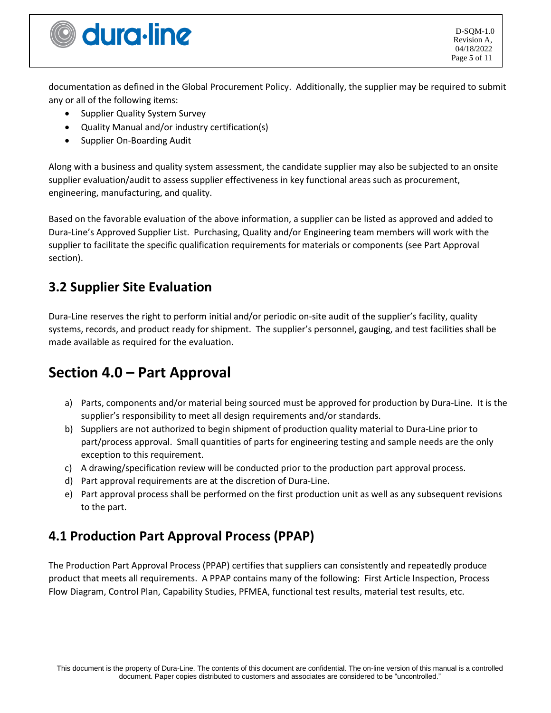

D-SQM-1.0 Revision A, 04/18/2022 Page **5** of 11

documentation as defined in the Global Procurement Policy. Additionally, the supplier may be required to submit any or all of the following items:

- Supplier Quality System Survey
- Quality Manual and/or industry certification(s)
- Supplier On-Boarding Audit

Along with a business and quality system assessment, the candidate supplier may also be subjected to an onsite supplier evaluation/audit to assess supplier effectiveness in key functional areas such as procurement, engineering, manufacturing, and quality.

Based on the favorable evaluation of the above information, a supplier can be listed as approved and added to Dura-Line's Approved Supplier List. Purchasing, Quality and/or Engineering team members will work with the supplier to facilitate the specific qualification requirements for materials or components (see Part Approval section).

### **3.2 Supplier Site Evaluation**

Dura-Line reserves the right to perform initial and/or periodic on-site audit of the supplier's facility, quality systems, records, and product ready for shipment. The supplier's personnel, gauging, and test facilities shall be made available as required for the evaluation.

# **Section 4.0 – Part Approval**

- a) Parts, components and/or material being sourced must be approved for production by Dura-Line. It is the supplier's responsibility to meet all design requirements and/or standards.
- b) Suppliers are not authorized to begin shipment of production quality material to Dura-Line prior to part/process approval. Small quantities of parts for engineering testing and sample needs are the only exception to this requirement.
- c) A drawing/specification review will be conducted prior to the production part approval process.
- d) Part approval requirements are at the discretion of Dura-Line.
- e) Part approval process shall be performed on the first production unit as well as any subsequent revisions to the part.

# **4.1 Production Part Approval Process (PPAP)**

The Production Part Approval Process (PPAP) certifies that suppliers can consistently and repeatedly produce product that meets all requirements. A PPAP contains many of the following: First Article Inspection, Process Flow Diagram, Control Plan, Capability Studies, PFMEA, functional test results, material test results, etc.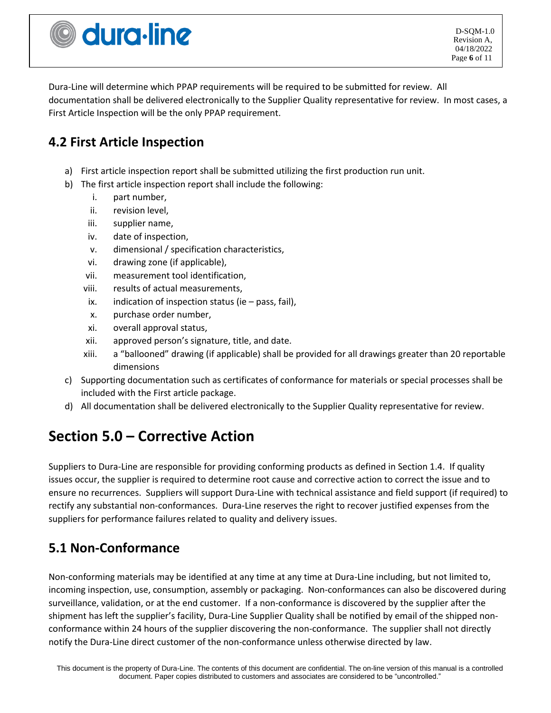

D-SQM-1.0 Revision A, 04/18/2022 Page **6** of 11

Dura-Line will determine which PPAP requirements will be required to be submitted for review. All documentation shall be delivered electronically to the Supplier Quality representative for review. In most cases, a First Article Inspection will be the only PPAP requirement.

# **4.2 First Article Inspection**

- a) First article inspection report shall be submitted utilizing the first production run unit.
- b) The first article inspection report shall include the following:
	- i. part number,
	- ii. revision level,
	- iii. supplier name,
	- iv. date of inspection,
	- v. dimensional / specification characteristics,
	- vi. drawing zone (if applicable),
	- vii. measurement tool identification,
	- viii. results of actual measurements,
	- ix. indication of inspection status (ie  $-$  pass, fail),
	- x. purchase order number,
	- xi. overall approval status,
	- xii. approved person's signature, title, and date.
	- xiii. a "ballooned" drawing (if applicable) shall be provided for all drawings greater than 20 reportable dimensions
- c) Supporting documentation such as certificates of conformance for materials or special processes shall be included with the First article package.
- d) All documentation shall be delivered electronically to the Supplier Quality representative for review.

# **Section 5.0 – Corrective Action**

Suppliers to Dura-Line are responsible for providing conforming products as defined in Section 1.4. If quality issues occur, the supplier is required to determine root cause and corrective action to correct the issue and to ensure no recurrences. Suppliers will support Dura-Line with technical assistance and field support (if required) to rectify any substantial non-conformances. Dura-Line reserves the right to recover justified expenses from the suppliers for performance failures related to quality and delivery issues.

# **5.1 Non-Conformance**

Non-conforming materials may be identified at any time at any time at Dura-Line including, but not limited to, incoming inspection, use, consumption, assembly or packaging. Non-conformances can also be discovered during surveillance, validation, or at the end customer. If a non-conformance is discovered by the supplier after the shipment has left the supplier's facility, Dura-Line Supplier Quality shall be notified by email of the shipped nonconformance within 24 hours of the supplier discovering the non-conformance. The supplier shall not directly notify the Dura-Line direct customer of the non-conformance unless otherwise directed by law.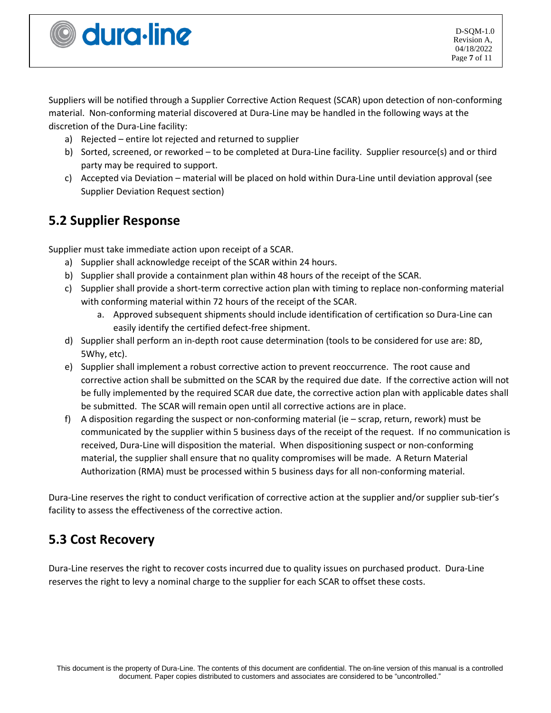Suppliers will be notified through a Supplier Corrective Action Request (SCAR) upon detection of non-conforming material. Non-conforming material discovered at Dura-Line may be handled in the following ways at the discretion of the Dura-Line facility:

- a) Rejected entire lot rejected and returned to supplier
- b) Sorted, screened, or reworked to be completed at Dura-Line facility. Supplier resource(s) and or third party may be required to support.
- c) Accepted via Deviation material will be placed on hold within Dura-Line until deviation approval (see Supplier Deviation Request section)

# **5.2 Supplier Response**

Supplier must take immediate action upon receipt of a SCAR.

- a) Supplier shall acknowledge receipt of the SCAR within 24 hours.
- b) Supplier shall provide a containment plan within 48 hours of the receipt of the SCAR.
- c) Supplier shall provide a short-term corrective action plan with timing to replace non-conforming material with conforming material within 72 hours of the receipt of the SCAR.
	- a. Approved subsequent shipments should include identification of certification so Dura-Line can easily identify the certified defect-free shipment.
- d) Supplier shall perform an in-depth root cause determination (tools to be considered for use are: 8D, 5Why, etc).
- e) Supplier shall implement a robust corrective action to prevent reoccurrence. The root cause and corrective action shall be submitted on the SCAR by the required due date. If the corrective action will not be fully implemented by the required SCAR due date, the corrective action plan with applicable dates shall be submitted. The SCAR will remain open until all corrective actions are in place.
- f) A disposition regarding the suspect or non-conforming material (ie scrap, return, rework) must be communicated by the supplier within 5 business days of the receipt of the request. If no communication is received, Dura-Line will disposition the material. When dispositioning suspect or non-conforming material, the supplier shall ensure that no quality compromises will be made. A Return Material Authorization (RMA) must be processed within 5 business days for all non-conforming material.

Dura-Line reserves the right to conduct verification of corrective action at the supplier and/or supplier sub-tier's facility to assess the effectiveness of the corrective action.

# **5.3 Cost Recovery**

Dura-Line reserves the right to recover costs incurred due to quality issues on purchased product. Dura-Line reserves the right to levy a nominal charge to the supplier for each SCAR to offset these costs.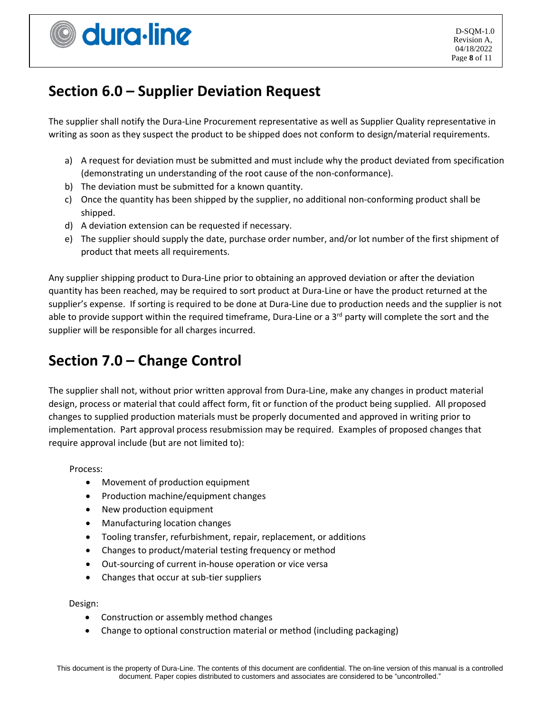# **Section 6.0 – Supplier Deviation Request**

The supplier shall notify the Dura-Line Procurement representative as well as Supplier Quality representative in writing as soon as they suspect the product to be shipped does not conform to design/material requirements.

- a) A request for deviation must be submitted and must include why the product deviated from specification (demonstrating un understanding of the root cause of the non-conformance).
- b) The deviation must be submitted for a known quantity.
- c) Once the quantity has been shipped by the supplier, no additional non-conforming product shall be shipped.
- d) A deviation extension can be requested if necessary.
- e) The supplier should supply the date, purchase order number, and/or lot number of the first shipment of product that meets all requirements.

Any supplier shipping product to Dura-Line prior to obtaining an approved deviation or after the deviation quantity has been reached, may be required to sort product at Dura-Line or have the product returned at the supplier's expense. If sorting is required to be done at Dura-Line due to production needs and the supplier is not able to provide support within the required timeframe, Dura-Line or a 3<sup>rd</sup> party will complete the sort and the supplier will be responsible for all charges incurred.

# **Section 7.0 – Change Control**

The supplier shall not, without prior written approval from Dura-Line, make any changes in product material design, process or material that could affect form, fit or function of the product being supplied. All proposed changes to supplied production materials must be properly documented and approved in writing prior to implementation. Part approval process resubmission may be required. Examples of proposed changes that require approval include (but are not limited to):

Process:

- Movement of production equipment
- Production machine/equipment changes
- New production equipment
- Manufacturing location changes
- Tooling transfer, refurbishment, repair, replacement, or additions
- Changes to product/material testing frequency or method
- Out-sourcing of current in-house operation or vice versa
- Changes that occur at sub-tier suppliers

Design:

- Construction or assembly method changes
- Change to optional construction material or method (including packaging)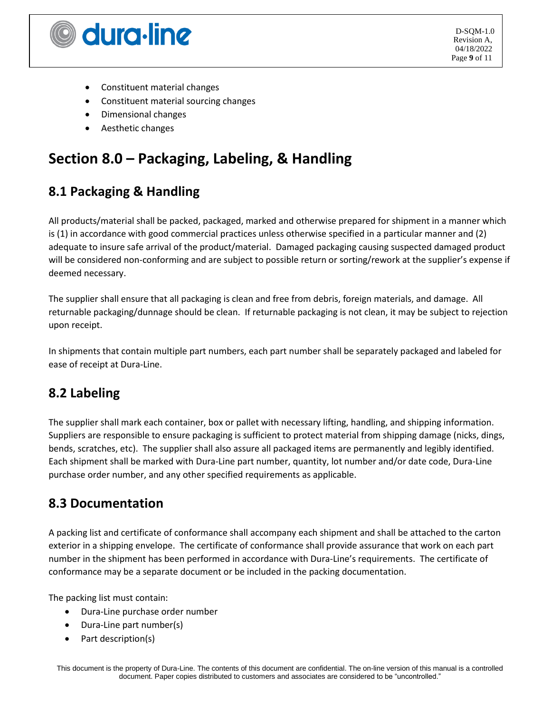

- Constituent material changes
- Constituent material sourcing changes
- Dimensional changes
- Aesthetic changes

# **Section 8.0 – Packaging, Labeling, & Handling**

# **8.1 Packaging & Handling**

All products/material shall be packed, packaged, marked and otherwise prepared for shipment in a manner which is (1) in accordance with good commercial practices unless otherwise specified in a particular manner and (2) adequate to insure safe arrival of the product/material. Damaged packaging causing suspected damaged product will be considered non-conforming and are subject to possible return or sorting/rework at the supplier's expense if deemed necessary.

The supplier shall ensure that all packaging is clean and free from debris, foreign materials, and damage. All returnable packaging/dunnage should be clean. If returnable packaging is not clean, it may be subject to rejection upon receipt.

In shipments that contain multiple part numbers, each part number shall be separately packaged and labeled for ease of receipt at Dura-Line.

# **8.2 Labeling**

The supplier shall mark each container, box or pallet with necessary lifting, handling, and shipping information. Suppliers are responsible to ensure packaging is sufficient to protect material from shipping damage (nicks, dings, bends, scratches, etc). The supplier shall also assure all packaged items are permanently and legibly identified. Each shipment shall be marked with Dura-Line part number, quantity, lot number and/or date code, Dura-Line purchase order number, and any other specified requirements as applicable.

### **8.3 Documentation**

A packing list and certificate of conformance shall accompany each shipment and shall be attached to the carton exterior in a shipping envelope. The certificate of conformance shall provide assurance that work on each part number in the shipment has been performed in accordance with Dura-Line's requirements. The certificate of conformance may be a separate document or be included in the packing documentation.

The packing list must contain:

- Dura-Line purchase order number
- Dura-Line part number(s)
- Part description(s)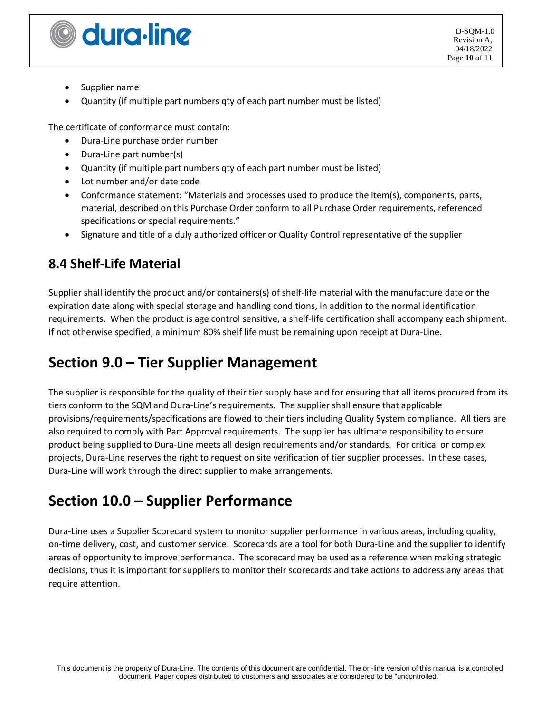

D-SQM-1.0 Revision A, 04/18/2022 Page **10** of 11

- Supplier name
- Quantity (if multiple part numbers qty of each part number must be listed)

The certificate of conformance must contain:

- Dura-Line purchase order number
- Dura-Line part number(s)
- Quantity (if multiple part numbers qty of each part number must be listed)
- Lot number and/or date code
- Conformance statement: "Materials and processes used to produce the item(s), components, parts, material, described on this Purchase Order conform to all Purchase Order requirements, referenced specifications or special requirements."
- Signature and title of a duly authorized officer or Quality Control representative of the supplier

# **8.4 Shelf-Life Material**

Supplier shall identify the product and/or containers(s) of shelf-life material with the manufacture date or the expiration date along with special storage and handling conditions, in addition to the normal identification requirements. When the product is age control sensitive, a shelf-life certification shall accompany each shipment. If not otherwise specified, a minimum 80% shelf life must be remaining upon receipt at Dura-Line.

# **Section 9.0 – Tier Supplier Management**

The supplier is responsible for the quality of their tier supply base and for ensuring that all items procured from its tiers conform to the SQM and Dura-Line's requirements. The supplier shall ensure that applicable provisions/requirements/specifications are flowed to their tiers including Quality System compliance. All tiers are also required to comply with Part Approval requirements. The supplier has ultimate responsibility to ensure product being supplied to Dura-Line meets all design requirements and/or standards. For critical or complex projects, Dura-Line reserves the right to request on site verification of tier supplier processes. In these cases, Dura-Line will work through the direct supplier to make arrangements.

# **Section 10.0 – Supplier Performance**

Dura-Line uses a Supplier Scorecard system to monitor supplier performance in various areas, including quality, on-time delivery, cost, and customer service. Scorecards are a tool for both Dura-Line and the supplier to identify areas of opportunity to improve performance. The scorecard may be used as a reference when making strategic decisions, thus it is important for suppliers to monitor their scorecards and take actions to address any areas that require attention.